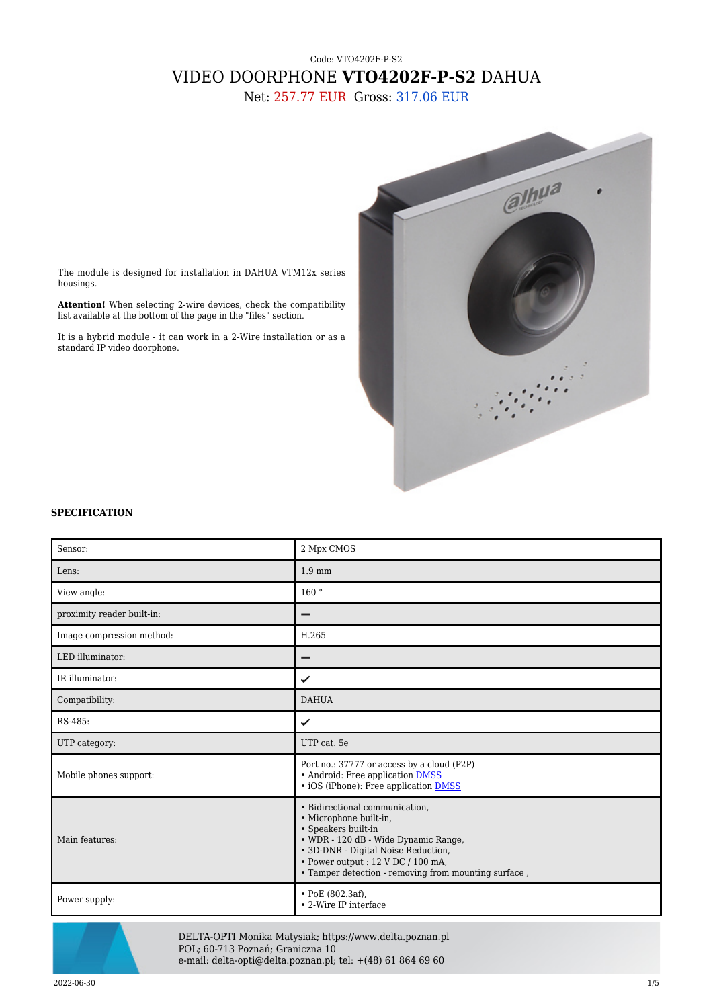## Code: VTO4202F-P-S2 VIDEO DOORPHONE **VTO4202F-P-S2** DAHUA

Net: 257.77 EUR Gross: 317.06 EUR



The module is designed for installation in DAHUA VTM12x series housings.

**Attention!** When selecting 2-wire devices, check the compatibility list available at the bottom of the page in the "files" section.

It is a hybrid module - it can work in a 2-Wire installation or as a standard IP video doorphone.

## **SPECIFICATION**

| Sensor:                    | 2 Mpx CMOS                                                                                                                                                                                                                                                  |
|----------------------------|-------------------------------------------------------------------------------------------------------------------------------------------------------------------------------------------------------------------------------------------------------------|
| Lens:                      | $1.9 \text{ mm}$                                                                                                                                                                                                                                            |
| View angle:                | 160°                                                                                                                                                                                                                                                        |
| proximity reader built-in: |                                                                                                                                                                                                                                                             |
| Image compression method:  | H.265                                                                                                                                                                                                                                                       |
| LED illuminator:           |                                                                                                                                                                                                                                                             |
| IR illuminator:            | ✓                                                                                                                                                                                                                                                           |
| Compatibility:             | <b>DAHUA</b>                                                                                                                                                                                                                                                |
| RS-485:                    | ✓                                                                                                                                                                                                                                                           |
| UTP category:              | UTP cat. 5e                                                                                                                                                                                                                                                 |
| Mobile phones support:     | Port no.: 37777 or access by a cloud (P2P)<br>• Android: Free application <b>DMSS</b><br>• iOS (iPhone): Free application DMSS                                                                                                                              |
| Main features:             | · Bidirectional communication,<br>· Microphone built-in,<br>• Speakers built-in<br>• WDR - 120 dB - Wide Dynamic Range,<br>• 3D-DNR - Digital Noise Reduction,<br>· Power output: 12 V DC / 100 mA,<br>. Tamper detection - removing from mounting surface, |
| Power supply:              | $\cdot$ PoE (802.3af),<br>• 2-Wire IP interface                                                                                                                                                                                                             |



DELTA-OPTI Monika Matysiak; https://www.delta.poznan.pl POL; 60-713 Poznań; Graniczna 10 e-mail: delta-opti@delta.poznan.pl; tel: +(48) 61 864 69 60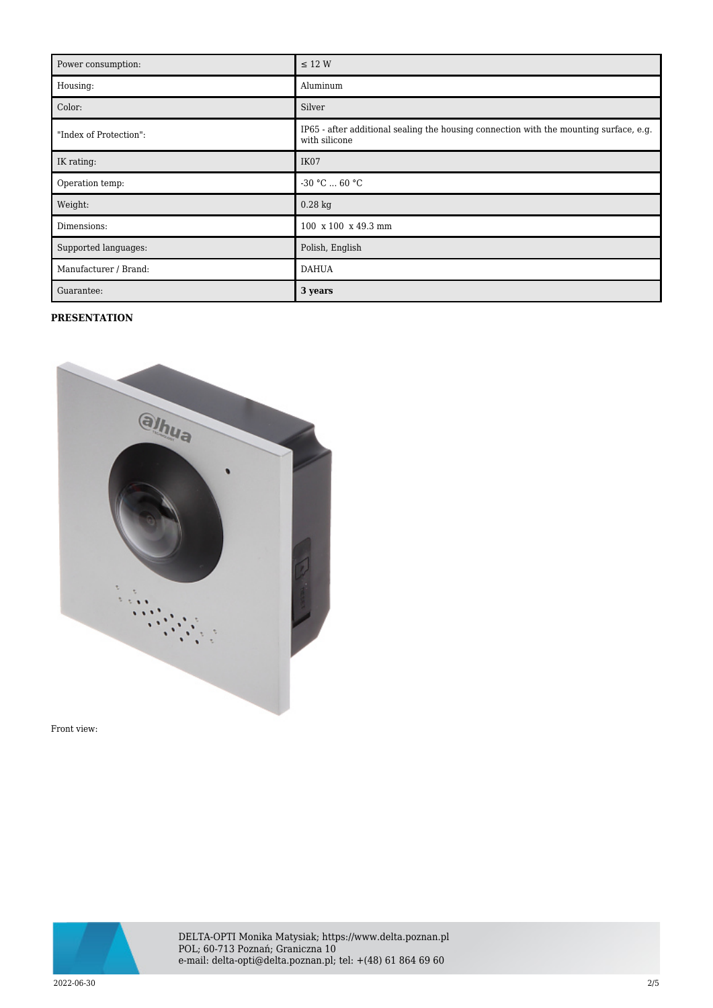| Power consumption:     | $\leq$ 12 W                                                                                             |
|------------------------|---------------------------------------------------------------------------------------------------------|
| Housing:               | Aluminum                                                                                                |
| Color:                 | Silver                                                                                                  |
| "Index of Protection": | IP65 - after additional sealing the housing connection with the mounting surface, e.g.<br>with silicone |
| IK rating:             | IK07                                                                                                    |
| Operation temp:        | $-30 °C  60 °C$                                                                                         |
| Weight:                | $0.28$ kg                                                                                               |
| Dimensions:            | 100 x 100 x 49.3 mm                                                                                     |
| Supported languages:   | Polish, English                                                                                         |
| Manufacturer / Brand:  | <b>DAHUA</b>                                                                                            |
| Guarantee:             | 3 years                                                                                                 |

## **PRESENTATION**



Front view:



DELTA-OPTI Monika Matysiak; https://www.delta.poznan.pl POL; 60-713 Poznań; Graniczna 10 e-mail: delta-opti@delta.poznan.pl; tel: +(48) 61 864 69 60

2022-06-30 2/5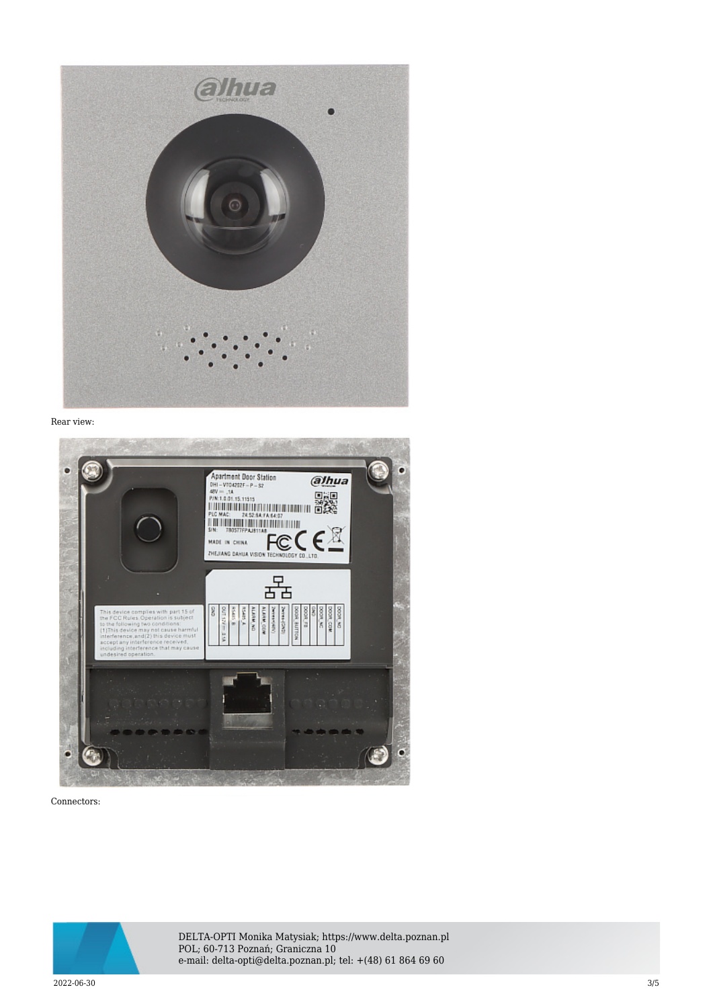

Rear view:



Connectors:



DELTA-OPTI Monika Matysiak; https://www.delta.poznan.pl POL; 60-713 Poznań; Graniczna 10 e-mail: delta-opti@delta.poznan.pl; tel: +(48) 61 864 69 60

 $2022{\cdot}06{\cdot}30$   $3/5$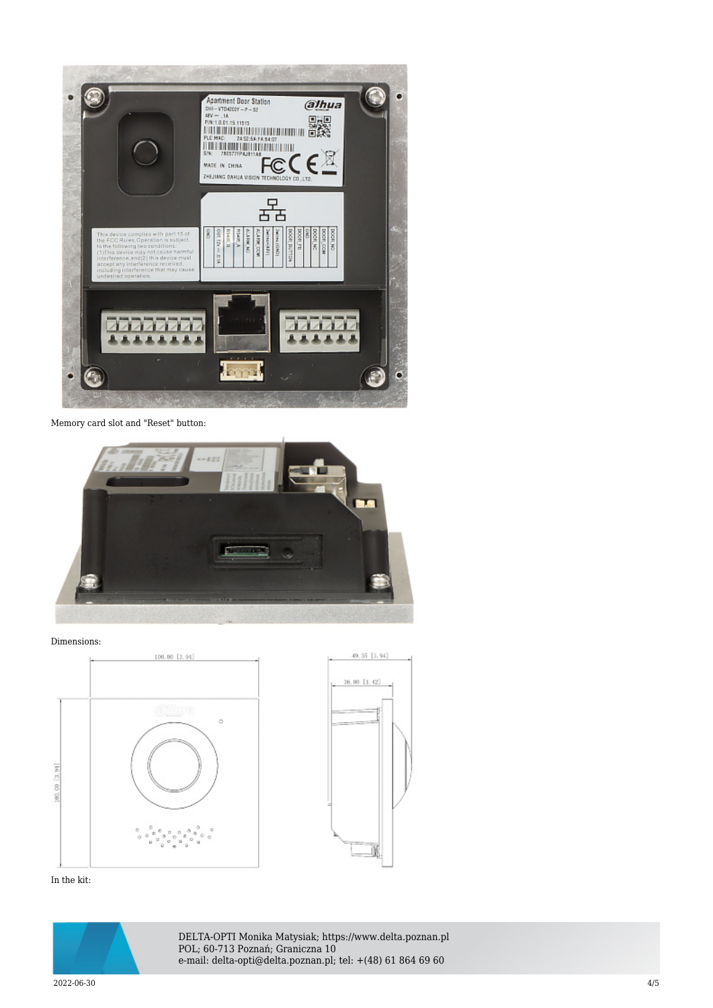

Memory card slot and "Reset" button:



Dimensions:





In the kit:



DELTA-OPTI Monika Matysiak; https://www.delta.poznan.pl POL; 60-713 Poznań; Graniczna 10 e-mail: delta-opti@delta.poznan.pl; tel: +(48) 61 864 69 60

2022-06-30 4/5